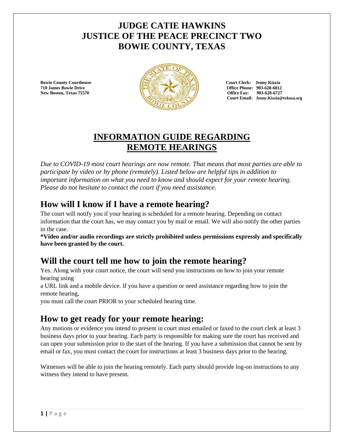## **JUDGE CATIE HAWKINS JUSTICE OF THE PEACE PRECINCT TWO BOWIE COUNTY, TEXAS**



**Office Fax: 903-628-6727 Court Email: Jenny.Kizzia@txkusa.org**

# **INFORMATION GUIDE REGARDING REMOTE HEARINGS**

*Due to COVID-19 most court hearings are now remote. That means that most parties are able to participate by video or by phone (remotely)*. *Listed below are helpful tips in addition to important information on what you need to know and should expect for your remote hearing. Please do not hesitate to contact the court if you need assistance.*

## **How will I know if I have a remote hearing?**

The court will notify you if your hearing is scheduled for a remote hearing. Depending on contact information that the court has, we may contact you by mail or email. We will also notify the other parties in the case.

**\*Video and/or audio recordings are strictly prohibited unless permissions expressly and specifically have been granted by the court.**

# **Will the court tell me how to join the remote hearing?**

Yes. Along with your court notice, the court will send you instructions on how to join your remote hearing using

a URL link and a mobile device. If you have a question or need assistance regarding how to join the remote hearing,

you must call the court PRIOR to your scheduled hearing time.

### **How to get ready for your remote hearing:**

Any motions or evidence you intend to present in court must emailed or faxed to the court clerk at least 3 business days prior to your hearing. Each party is responsible for making sure the court has received and can open your submission prior to the start of the hearing. If you have a submission that cannot be sent by email or fax, you must contact the court for instructions at least 3 business days prior to the hearing.

Witnesses will be able to join the hearing remotely. Each party should provide log-on instructions to any witness they intend to have present.